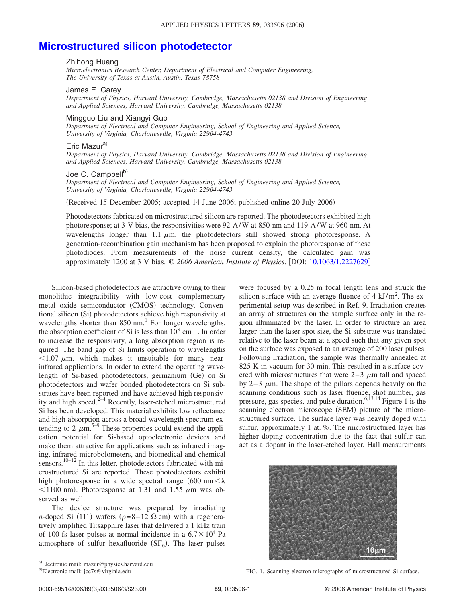# **[Microstructured silicon photodetector](http://dx.doi.org/10.1063/1.2227629)**

#### Zhihong Huang

*Microelectronics Research Center, Department of Electrical and Computer Engineering, The University of Texas at Austin, Austin, Texas 78758*

#### James E. Carey

*Department of Physics, Harvard University, Cambridge, Massachusetts 02138 and Division of Engineering and Applied Sciences, Harvard University, Cambridge, Massachusetts 02138*

### Mingguo Liu and Xiangyi Guo

*Department of Electrical and Computer Engineering, School of Engineering and Applied Science, University of Virginia, Charlottesville, Virginia 22904-4743*

## Eric Mazur<sup>a)</sup>

*Department of Physics, Harvard University, Cambridge, Massachusetts 02138 and Division of Engineering and Applied Sciences, Harvard University, Cambridge, Massachusetts 02138*

## Joe C. Campbell<sup>b)</sup>

*Department of Electrical and Computer Engineering, School of Engineering and Applied Science, University of Virginia, Charlottesville, Virginia 22904-4743*

(Received 15 December 2005; accepted 14 June 2006; published online 20 July 2006)

Photodetectors fabricated on microstructured silicon are reported. The photodetectors exhibited high photoresponse; at 3 V bias, the responsivities were 92 A/W at 850 nm and 119 A/W at 960 nm. At wavelengths longer than 1.1  $\mu$ m, the photodetectors still showed strong photoresponse. A generation-recombination gain mechanism has been proposed to explain the photoresponse of these photodiodes. From measurements of the noise current density, the calculated gain was approximately 1200 at 3 V bias. © *2006 American Institute of Physics*. DOI: [10.1063/1.2227629](http://dx.doi.org/10.1063/1.2227629)

Silicon-based photodetectors are attractive owing to their monolithic integratibility with low-cost complementary metal oxide semiconductor (CMOS) technology. Conventional silicon (Si) photodetectors achieve high responsivity at wavelengths shorter than  $850 \text{ nm}$ . For longer wavelengths, the absorption coefficient of Si is less than  $10^3$  cm<sup>-1</sup>. In order to increase the responsivity, a long absorption region is required. The band gap of Si limits operation to wavelengths  $<$ 1.07  $\mu$ m, which makes it unsuitable for many nearinfrared applications. In order to extend the operating wavelength of Si-based photodetectors, germanium (Ge) on Si photodetectors and wafer bonded photodetectors on Si substrates have been reported and have achieved high responsivity and high speed. $2-4$  Recently, laser-etched microstructured Si has been developed. This material exhibits low reflectance and high absorption across a broad wavelength spectrum extending to 2  $\mu$ m.<sup>5-9</sup> These properties could extend the application potential for Si-based optoelectronic devices and make them attractive for applications such as infrared imaging, infrared microbolometers, and biomedical and chemical sensors.<sup>10–12</sup> In this letter, photodetectors fabricated with microstructured Si are reported. These photodetectors exhibit high photoresponse in a wide spectral range (600 nm  $< \lambda$ )  $\leq$ 1100 nm). Photoresponse at 1.31 and 1.55  $\mu$ m was observed as well.

The device structure was prepared by irradiating *n*-doped Si (111) wafers ( $\rho = 8 - 12 \Omega$  cm) with a regeneratively amplified Ti:sapphire laser that delivered a 1 kHz train of 100 fs laser pulses at normal incidence in a  $6.7 \times 10^4$  Pa atmosphere of sulfur hexafluoride  $(SF_6)$ . The laser pulses

were focused by a 0.25 m focal length lens and struck the silicon surface with an average fluence of  $4 \text{ kJ/m}^2$ . The experimental setup was described in Ref. 9. Irradiation creates an array of structures on the sample surface only in the region illuminated by the laser. In order to structure an area larger than the laser spot size, the Si substrate was translated relative to the laser beam at a speed such that any given spot on the surface was exposed to an average of 200 laser pulses. Following irradiation, the sample was thermally annealed at 825 K in vacuum for 30 min. This resulted in a surface covered with microstructures that were  $2-3 \mu m$  tall and spaced by 2–3  $\mu$ m. The shape of the pillars depends heavily on the scanning conditions such as laser fluence, shot number, gas pressure, gas species, and pulse duration.<sup>6,13,14</sup> Figure 1 is the scanning electron microscope (SEM) picture of the microstructured surface. The surface layer was heavily doped with sulfur, approximately 1 at. %. The microstructured layer has higher doping concentration due to the fact that sulfur can act as a dopant in the laser-etched layer. Hall measurements

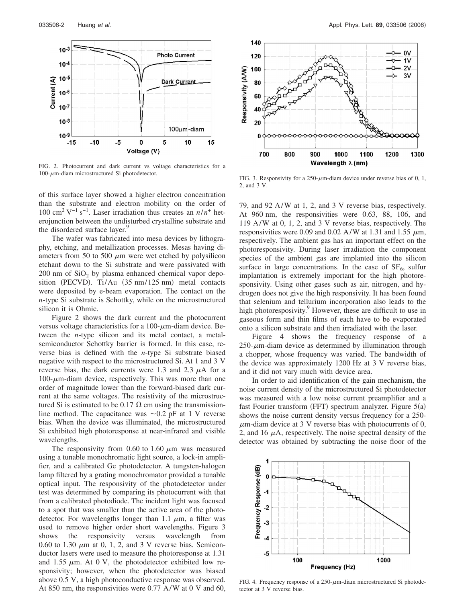

FIG. 2. Photocurrent and dark current vs voltage characteristics for a 100- $\mu$ m-diam microstructured Si photodetector.<br>FIG. 3. Responsivity for a 250- $\mu$ m-diam device under reverse bias of 0, 1,

of this surface layer showed a higher electron concentration than the substrate and electron mobility on the order of 100 cm2 V−1 s−1. Laser irradiation thus creates an *n*/*n*<sup>+</sup> heterojunction between the undisturbed crystalline substrate and the disordered surface layer.<sup>9</sup>

The wafer was fabricated into mesa devices by lithography, etching, and metallization processes. Mesas having diameters from 50 to 500  $\mu$ m were wet etched by polysilicon etchant down to the Si substrate and were passivated with 200 nm of  $SiO<sub>2</sub>$  by plasma enhanced chemical vapor deposition (PECVD). Ti/Au (35 nm/125 nm) metal contacts were deposited by e-beam evaporation. The contact on the *n*-type Si substrate is Schottky, while on the microstructured silicon it is Ohmic.

Figure 2 shows the dark current and the photocurrent versus voltage characteristics for a 100- $\mu$ m-diam device. Between the *n*-type silicon and its metal contact, a metalsemiconductor Schottky barrier is formed. In this case, reverse bias is defined with the *n*-type Si substrate biased negative with respect to the microstructured Si. At 1 and 3 V reverse bias, the dark currents were 1.3 and 2.3  $\mu$ A for a  $100$ - $\mu$ m-diam device, respectively. This was more than one order of magnitude lower than the forward-biased dark current at the same voltages. The resistivity of the microstructured Si is estimated to be 0.17  $\Omega$  cm using the transmissionline method. The capacitance was  $\sim 0.2$  pF at 1 V reverse bias. When the device was illuminated, the microstructured Si exhibited high photoresponse at near-infrared and visible wavelengths.

The responsivity from 0.60 to 1.60  $\mu$ m was measured using a tunable monochromatic light source, a lock-in amplifier, and a calibrated Ge photodetector. A tungsten-halogen lamp filtered by a grating monochromator provided a tunable optical input. The responsivity of the photodetector under test was determined by comparing its photocurrent with that from a calibrated photodiode. The incident light was focused to a spot that was smaller than the active area of the photodetector. For wavelengths longer than 1.1  $\mu$ m, a filter was used to remove higher order short wavelengths. Figure 3 shows the responsivity versus wavelength from 0.60 to 1.30  $\mu$ m at 0, 1, 2, and 3 V reverse bias. Semiconductor lasers were used to measure the photoresponse at 1.31 and 1.55  $\mu$ m. At 0 V, the photodetector exhibited low responsivity; however, when the photodetector was biased above 0.5 V, a high photoconductive response was observed. At 850 nm, the responsivities were 0.77 A/W at 0 V and 60,



2, and 3 V.

79, and 92 A/W at 1, 2, and 3 V reverse bias, respectively. At 960 nm, the responsivities were 0.63, 88, 106, and 119 A/W at 0, 1, 2, and 3 V reverse bias, respectively. The responsivities were 0.09 and 0.02 A/W at 1.31 and 1.55  $\mu$ m, respectively. The ambient gas has an important effect on the photoresponsivity. During laser irradiation the component species of the ambient gas are implanted into the silicon surface in large concentrations. In the case of  $SF_6$ , sulfur implantation is extremely important for the high photoresponsivity. Using other gases such as air, nitrogen, and hydrogen does not give the high responsivity. It has been found that selenium and tellurium incorporation also leads to the high photoresposivity.<sup>9</sup> However, these are difficult to use in gaseous form and thin films of each have to be evaporated onto a silicon substrate and then irradiated with the laser.

Figure 4 shows the frequency response of a  $250$ - $\mu$ m-diam device as determined by illumination through a chopper, whose frequency was varied. The bandwidth of the device was approximately 1200 Hz at 3 V reverse bias, and it did not vary much with device area.

In order to aid identification of the gain mechanism, the noise current density of the microstructured Si photodetector was measured with a low noise current preamplifier and a fast Fourier transform (FFT) spectrum analyzer. Figure 5(a) shows the noise current density versus frequency for a 250-  $\mu$ m-diam device at 3 V reverse bias with photocurrents of 0, 2, and 16  $\mu$ A, respectively. The noise spectral density of the detector was obtained by subtracting the noise floor of the



FIG. 4. Frequency response of a  $250$ - $\mu$ m-diam microstructured Si photodetector at 3 V reverse bias.